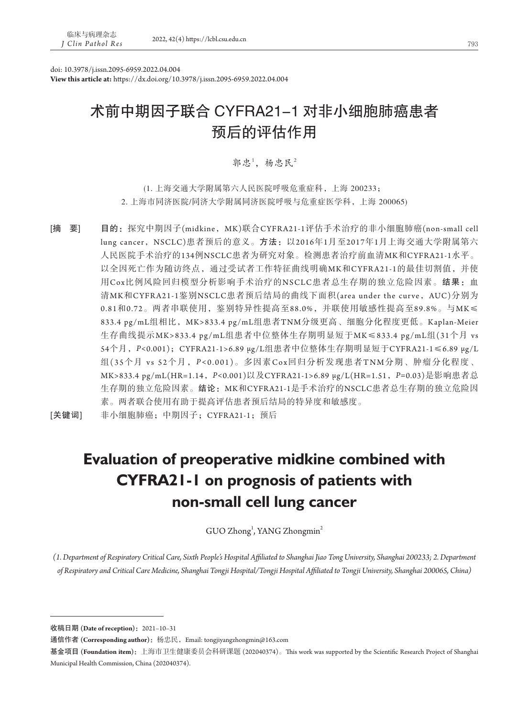doi: 10.3978/j.issn.2095-6959.2022.04.004 **View this article at:** https://dx.doi.org/10.3978/j.issn.2095-6959.2022.04.004

# 术前中期因子联合 CYFRA21-1 对非小细胞肺癌患者 预后的评估作用

郭忠<sup>1</sup>, 杨忠民 $2$ 

(1. 上海交通大学附属第六人民医院呼吸危重症科,上海 200233; 2. 上海市同济医院/同济大学附属同济医院呼吸与危重症医学科,上海 200065)

[摘 要] 目的: 探究中期因子(midkine, MK)联合CYFRA21-1评估手术治疗的非小细胞肺癌(non-small cell lung cancer, NSCLC)患者预后的意义。方法: 以2016年1月至2017年1月上海交通大学附属第六 人民医院手术治疗的134例NSCLC患者为研究对象。检测患者治疗前血清MK和CYFRA21-1水平。 以全因死亡作为随访终点,通过受试者工作特征曲线明确MK和CYFRA21-1的最佳切割值,并使 用Cox比例风险回归模型分析影响手术治疗的NSCLC患者总生存期的独立危险因素。结果:血 清MK和CYFRA21-1鉴别NSCLC患者预后结局的曲线下面积(area under the curve, AUC)分别为 0.81和0.72。两者串联使用,鉴别特异性提高至88.0%,并联使用敏感性提高至89.8%。与MK≤ 833.4 pg/mL组相比,MK>833.4 pg/mL组患者TNM分级更高、细胞分化程度更低。Kaplan-Meier 生存曲线提示MK>833.4 pg/mL组患者中位整体生存期明显短于MK≤833.4 pg/mL组(31个月 vs 54个月,*P<*0.001);CYFRA21-1>6.89 μg/L组患者中位整体生存期明显短于CYFRA21-1≤6.89 μg/L 组(35个月 vs 52个月,*P <*0.001)。多因素Cox回归分析发现患者TNM分期、肿瘤分化程度、 MK>833.4 pg/mL(HR=1.14,*P<*0.001)以及CYFRA21-1>6.89 μg/L(HR=1.51,*P=*0.03)是影响患者总 生存期的独立危险因素。结论: MK和CYFRA21-1是手术治疗的NSCLC患者总生存期的独立危险因 素。两者联合使用有助于提高评估患者预后结局的特异度和敏感度。

[关键词] 非小细胞肺癌;中期因子;CYFRA21-1;预后

# **Evaluation of preoperative midkine combined with CYFRA21-1 on prognosis of patients with non-small cell lung cancer**

GUO Zhong<sup>1</sup>, YANG Zhongmin<sup>2</sup>

*(1. Department of Respiratory Critical Care, Sixth People's Hospital Affiliated to Shanghai Jiao Tong University, Shanghai 200233; 2. Department of Respiratory and Critical Care Medicine, Shanghai Tongji Hospital/Tongji Hospital Affiliated to Tongji University, Shanghai 200065, China)*

收稿日期 **(Date of reception)**:2021–10–31

通信作者 **(Corresponding author)**:杨忠民,Email: tongjiyangzhongmin@163.com

基金项目 **(Foundation item)**:上海市卫生健康委员会科研课题 (202040374)。This work was supported by the Scientific Research Project of Shanghai Municipal Health Commission, China (202040374).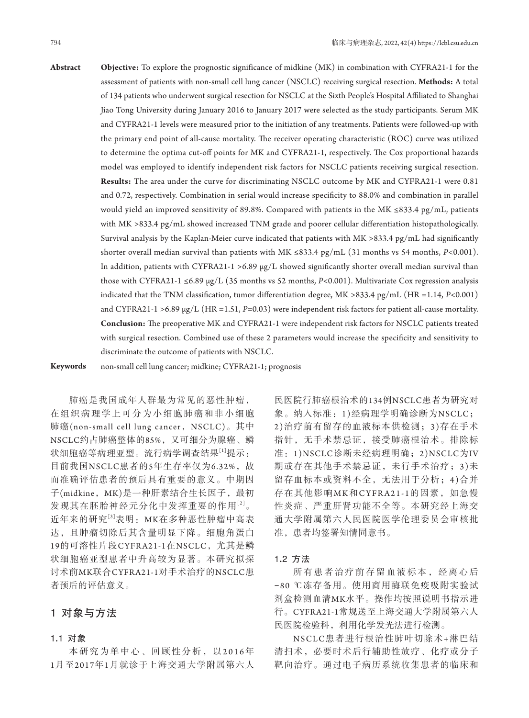**Abstract Objective:** To explore the prognostic significance of midkine (MK) in combination with CYFRA21-1 for the assessment of patients with non-small cell lung cancer (NSCLC) receiving surgical resection. **Methods:** A total of 134 patients who underwent surgical resection for NSCLC at the Sixth People's Hospital Affiliated to Shanghai Jiao Tong University during January 2016 to January 2017 were selected as the study participants. Serum MK and CYFRA21-1 levels were measured prior to the initiation of any treatments. Patients were followed-up with the primary end point of all-cause mortality. The receiver operating characteristic (ROC) curve was utilized to determine the optima cut-off points for MK and CYFRA21-1, respectively. The Cox proportional hazards model was employed to identify independent risk factors for NSCLC patients receiving surgical resection. **Results:** The area under the curve for discriminating NSCLC outcome by MK and CYFRA21-1 were 0.81 and 0.72, respectively. Combination in serial would increase specificity to 88.0% and combination in parallel would yield an improved sensitivity of 89.8%. Compared with patients in the MK ≤833.4 pg/mL, patients with MK >833.4 pg/mL showed increased TNM grade and poorer cellular differentiation histopathologically. Survival analysis by the Kaplan-Meier curve indicated that patients with MK >833.4 pg/mL had significantly shorter overall median survival than patients with MK ≤833.4 pg/mL (31 months vs 54 months, *P<*0.001). In addition, patients with CYFRA21-1 >6.89  $\mu$ g/L showed significantly shorter overall median survival than those with CYFRA21-1 ≤6.89 μg/L (35 months vs 52 months, *P<*0.001). Multivariate Cox regression analysis indicated that the TNM classification, tumor differentiation degree, MK >833.4 pg/mL (HR =1.14, *P<*0.001) and CYFRA21-1 >6.89 μg/L (HR =1.51, *P=*0.03) were independent risk factors for patient all-cause mortality. **Conclusion:** The preoperative MK and CYFRA21-1 were independent risk factors for NSCLC patients treated with surgical resection. Combined use of these 2 parameters would increase the specificity and sensitivity to discriminate the outcome of patients with NSCLC.

**Keywords** non-small cell lung cancer; midkine; CYFRA21-1; prognosis

肺癌是我国成年人群最为常见的恶性肿瘤, 在组织病理学上可分为小细胞肺癌和非小细胞 肺癌(non-small cell lung cancer, NSCLC)。其中 NSCLC约占肺癌整体的85%,又可细分为腺癌、鳞 状细胞癌等病理亚型。流行病学调查结果[1]提示: 目前我国NSCLC患者的5年生存率仅为6.32%, 故 而准确评估患者的预后具有重要的意义。中期因 子(midkine, MK)是一种肝素结合生长因子, 最初 发现其在胚胎神经元分化中发挥重要的作用[2]。 近年来的研究[3]表明:MK在多种恶性肿瘤中高表 达,且肿瘤切除后其含量明显下降。细胞角蛋白 19的可溶性片段CYFRA21-1在NSCLC,尤其是鳞 状细胞癌亚型患者中升高较为显著。本研究拟探 讨术前MK联合CYFRA21-1对手术治疗的NSCLC患 者预后的评估意义。

## 1对象与方法

#### 1**.**1对象

本研究为单中心、回顾性分析,以2016年 1月至2017年1月就诊于上海交通大学附属第六人

民医院行肺癌根治术的134例NSCLC患者为研究对 象。纳入标准:1)经病理学明确诊断为NSCLC; 2 )治疗前有留存的血液标本供检测;3 )存在手术 指针,无手术禁忌证,接受肺癌根治术。排除标 准:1)NSCLC诊断未经病理明确;2)NSCLC为IV 期或存在其他手术禁忌证,未行手术治疗;3 )未 留存血标本或资料不全,无法用于分析;4)合并 存在其他影响MK和CYFRA21-1的因素, 如急慢 性炎症、严重肝肾功能不全等。本研究经上海交 通大学附属第六人民医院医学伦理委员会审核批 准,患者均签署知情同意书。

#### 1**.**2方法

所有患者治疗前存留血液标本,经离心后 −80 ℃冻存备用。使用商用酶联免疫吸附实验试 剂盒检测血清MK水平。操作均按照说明书指示进 行。CYFRA21-1常规送至上海交通大学附属第六人 民医院检验科,利用化学发光法进行检测。

NSCLC患者进行根治性肺叶切除术+淋巴结 清扫术,必要时术后行辅助性放疗、化疗或分子 靶向治疗。通过电子病历系统收集患者的临床和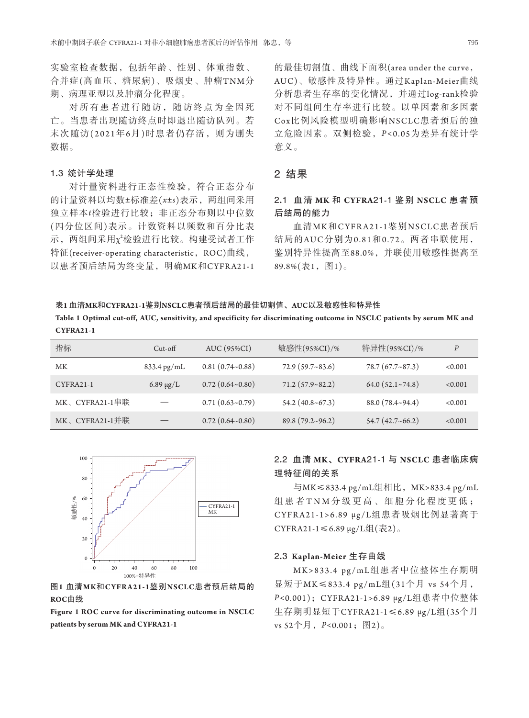实验室检查数据,包括年龄、性别、体重指数、 合并症(高血压、糖尿病)、吸烟史、肿瘤TNM分 期、病理亚型以及肿瘤分化程度。

对所有患者进行随访,随访终点为全因死 亡。当患者出现随访终点时即退出随访队列。若 末次随访(2021年6月)时患者仍存活,则为删失 数据。

#### 1**.**3统计学处理

对计量资料进行正态性检验,符合正态分布 的计量资料以均数±标准差(*x*±*s*)表示,两组间采用 独立样本*t*检验进行比较;非正态分布则以中位数 (四分位区间)表示。计数资料以频数和百分比表 示,两组间采用χ<sup>2</sup>检验进行比较。构建受试者工作 特征(receiver-operating characteristic, ROC)曲线, 以患者预后结局为终变量,明确MK和CYFRA21-1

的最佳切割值、曲线下面积(area under the curve, AUC)、敏感性及特异性。通过Kaplan-Meier曲线 分析患者生存率的变化情况,并通过log-rank检验 对不同组间生存率进行比较。以单因素和多因素 Cox比例风险模型明确影响NSCLC患者预后的独 立危险因素。双侧检验,*P <*0.05为差异有统计学 意义。

### 2结果

# 2**.**1血清 **MK** 和 **CYFRA**21**-**1 鉴别 **NSCLC** 患者预 后结局的能力

血清M K和CYFRA21-1鉴别NSCLC患者预后 结局的AUC分别为0.81和0.72。两者串联使用, 鉴别特异性提高至88.0%,并联使用敏感性提高至 89.8%(表1,图1)。

表**1** 血清**MK**和**CYFRA21-1**鉴别**NSCLC**患者预后结局的最佳切割值、**AUC**以及敏感性和特异性 **Table 1 Optimal cut-off, AUC, sensitivity, and specificity for discriminating outcome in NSCLC patients by serum MK and CYFRA21-1**

| 指标             | $Cut$ -off            | AUC (95%CI)              | 敏感性(95%CI)/%             | 特异性(95%CI)/%             | P       |
|----------------|-----------------------|--------------------------|--------------------------|--------------------------|---------|
| МK             | $833.4 \text{ pg/mL}$ | $0.81(0.74-0.88)$        | 72.9(59.7~83.6)          | $78.7(67.7-87.3)$        | < 0.001 |
| CYFRA21-1      | $6.89 \mu g/L$        | $0.72(0.64 - 0.80)$      | $71.2(57.9 - 82.2)$      | 64.0(52.1~274.8)         | < 0.001 |
| MK、CYFRA21-1串联 |                       | $0.71(0.63\text{-}0.79)$ | 54.2(40.8~67.3)          | $88.0(78.4 \times 94.4)$ | < 0.001 |
| MK、CYFRA21-1并联 |                       | 0.72(0.64~0.80)          | $89.8(79.2 \times 96.2)$ | 54.7(42.7~66.2)          | < 0.001 |



图**1** 血清**MK**和**CYFRA21-1**鉴别**NSCLC**患者预后结局的 **ROC**曲线

**Figure 1 ROC curve for discriminating outcome in NSCLC patients by serum MK and CYFRA21-1**

## 2**.**2血清 **MK**、**CYFRA**21**-**1 与 **NSCLC** 患者临床病 理特征间的关系

与MK≤833.4 pg/mL组相比,MK>833.4 pg/mL 组患者 TNM 分级更高、细胞分化程度更低; CYFRA21-1>6.89 μg/L组患者吸烟比例显著高于 CYFRA21-1≤6.89 μg/L组(表2)。

#### 2**.**3 **Kaplan-Meier** 生存曲线

MK>833.4 pg/mL组患者中位整体生存期明 显短于MK≤833.4 pg/mL组(31个月 vs 54个月, *P<*0.001);CYFRA21-1>6.89 μg/L组患者中位整体 生存期明显短于CYFRA21-1≤6.89 μg/L组(35个月 vs 52个月,*P<*0.001;图2)。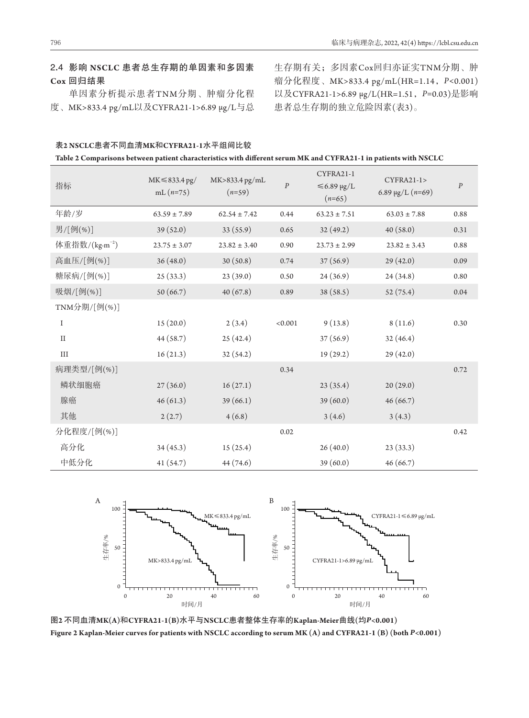# 2**.**4影响 **NSCLC** 患者总生存期的单因素和多因素 **Cox** 回归结果

单因素分析提示患者TNM分期、肿瘤分化程 度、MK>833.4 pg/mL以及CYFRA21-1>6.89 μg/L与总 生存期有关;多因素Cox回归亦证实TNM分期、肿 瘤分化程度、MK>833.4 pg/mL(HR=1.14,*P<*0.001) 以及CYFRA21-1>6.89 μg/L(HR=1.51,*P=*0.03)是影响 患者总生存期的独立危险因素(表3)。

| 表2 NSCLC患者不同血清MK和CYFRA21-1水平组间比较                                                                                 |
|------------------------------------------------------------------------------------------------------------------|
| Table 2 Comparisons between patient characteristics with different serum MK and CYFRA21-1 in patients with NSCLC |

| 指标                         | $MK \leq 833.4$ pg/<br>mL $(n=75)$ | $MK>833.4$ pg/mL<br>$(n=59)$ | $\boldsymbol{P}$ | CYFRA21-1<br>$≤6.89 \mu g/L$<br>$(n=65)$ | CYFRA21-1><br>6.89 $\mu$ g/L (n=69) | $\boldsymbol{P}$ |
|----------------------------|------------------------------------|------------------------------|------------------|------------------------------------------|-------------------------------------|------------------|
| 年龄/岁                       | $63.59 \pm 7.89$                   | $62.54 \pm 7.42$             | 0.44             | $63.23 \pm 7.51$                         | $63.03 \pm 7.88$                    | 0.88             |
| 男/[例(%)]                   | 39(52.0)                           | 33(55.9)                     | 0.65             | 32(49.2)                                 | 40(58.0)                            | 0.31             |
| 体重指数/(kg·m <sup>-2</sup> ) | $23.75 \pm 3.07$                   | $23.82 \pm 3.40$             | 0.90             | $23.73 \pm 2.99$                         | $23.82 \pm 3.43$                    | 0.88             |
| 高血压/[例(%)]                 | 36(48.0)                           | 30(50.8)                     | 0.74             | 37(56.9)                                 | 29(42.0)                            | 0.09             |
| 糖尿病/[例(%)]                 | 25(33.3)                           | 23(39.0)                     | 0.50             | 24(36.9)                                 | 24(34.8)                            | 0.80             |
| 吸烟/[例(%)]                  | 50(66.7)                           | 40(67.8)                     | 0.89             | 38 (58.5)                                | 52(75.4)                            | 0.04             |
| TNM分期/[例(%)]               |                                    |                              |                  |                                          |                                     |                  |
| $\bf{I}$                   | 15(20.0)                           | 2(3.4)                       | < 0.001          | 9(13.8)                                  | 8(11.6)                             | 0.30             |
| $\rm II$                   | 44 (58.7)                          | 25(42.4)                     |                  | 37(56.9)                                 | 32(46.4)                            |                  |
| $\rm III$                  | 16(21.3)                           | 32(54.2)                     |                  | 19(29.2)                                 | 29(42.0)                            |                  |
| 病理类型/[例(%)]                |                                    |                              | 0.34             |                                          |                                     | 0.72             |
| 鳞状细胞癌                      | 27(36.0)                           | 16(27.1)                     |                  | 23(35.4)                                 | 20(29.0)                            |                  |
| 腺癌                         | 46(61.3)                           | 39(66.1)                     |                  | 39 (60.0)                                | 46(66.7)                            |                  |
| 其他                         | 2(2.7)                             | 4(6.8)                       |                  | 3(4.6)                                   | 3(4.3)                              |                  |
| 分化程度/[例(%)]                |                                    |                              | 0.02             |                                          |                                     | 0.42             |
| 高分化                        | 34(45.3)                           | 15(25.4)                     |                  | 26(40.0)                                 | 23(33.3)                            |                  |
| 中低分化                       | 41(54.7)                           | 44 (74.6)                    |                  | 39 (60.0)                                | 46(66.7)                            |                  |



图**2** 不同血清**MK(A)**和**CYFRA21-1(B)**水平与**NSCLC**患者整体生存率的**Kaplan-Meier**曲线**(**均*P***<0.001) Figure 2 Kaplan-Meier curves for patients with NSCLC according to serum MK (A) and CYFRA21-1 (B) (both** *P***<0.001)**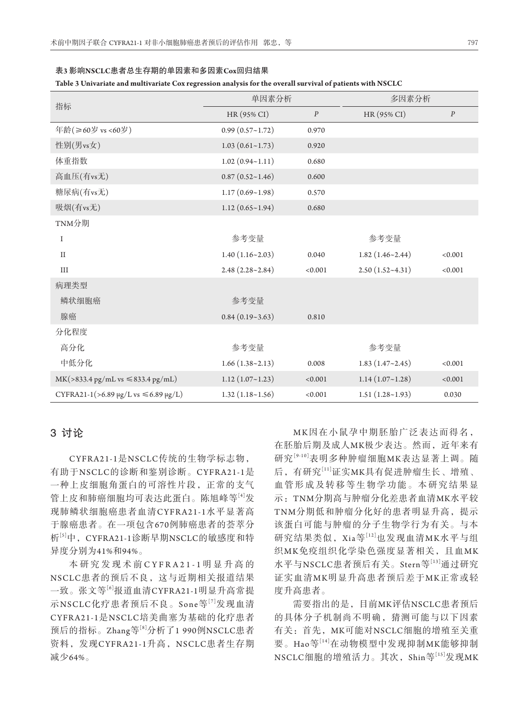|                                                         | 单因素分析               |                  | 多因素分析                    |                  |
|---------------------------------------------------------|---------------------|------------------|--------------------------|------------------|
| 指标                                                      | HR (95% CI)         | $\boldsymbol{P}$ | HR (95% CI)              | $\boldsymbol{P}$ |
| 年龄(≥60岁 vs <60岁)                                        | 0.99(0.57~1.72)     | 0.970            |                          |                  |
| 性别(男vs女)                                                | 1.03(0.61~1.73)     | 0.920            |                          |                  |
| 体重指数                                                    | 1.02(0.94~1.11)     | 0.680            |                          |                  |
| 高血压(有vs无)                                               | 0.87(0.52~1.46)     | 0.600            |                          |                  |
| 糖尿病(有vs无)                                               | $1.17(0.69 - 1.98)$ | 0.570            |                          |                  |
| 吸烟(有vs无)                                                | 1.12(0.65~1.94)     | 0.680            |                          |                  |
| TNM分期                                                   |                     |                  |                          |                  |
| I                                                       | 参考变量                |                  | 参考变量                     |                  |
| $\rm II$                                                | $1.40(1.16-2.03)$   | 0.040            | $1.82(1.46 \times 2.44)$ | < 0.001          |
| $\rm III$                                               | $2.48(2.28-2.84)$   | < 0.001          | $2.50(1.52-4.31)$        | < 0.001          |
| 病理类型                                                    |                     |                  |                          |                  |
| 鳞状细胞癌                                                   | 参考变量                |                  |                          |                  |
| 腺癌                                                      | $0.84(0.19-3.63)$   | 0.810            |                          |                  |
| 分化程度                                                    |                     |                  |                          |                  |
| 高分化                                                     | 参考变量                |                  | 参考变量                     |                  |
| 中低分化                                                    | 1.66(1.38~2.13)     | 0.008            | 1.83(1.47~2.45)          | < 0.001          |
| $MK(>833.4 \text{ pg/mL vs } \leq 833.4 \text{ pg/mL})$ | 1.12(1.07~1.23)     | < 0.001          | 1.14(1.07~1.28)          | < 0.001          |
| CYFRA21-1(>6.89 μg/L vs ≤6.89 μg/L)                     | 1.32(1.18~1.56)     | < 0.001          | $1.51(1.28-1.93)$        | 0.030            |

表**3** 影响**NSCLC**患者总生存期的单因素和多因素**Cox**回归结果

#### **Table 3 Univariate and multivariate Cox regression analysis for the overall survival of patients with NSCLC**

#### 3讨论

CYFRA21-1是NSCLC传统的生物学标志物, 有助于NSCLC的诊断和鉴别诊断。CYFRA21-1是 一种上皮细胞角蛋白的可溶性片段,正常的支气 管上皮和肺癌细胞均可表达此蛋白。陈旭峰等[4]发 现肺鳞状细胞癌患者血清CYFRA21-1水平显著高 于腺癌患者。在一项包含670例肺癌患者的荟萃分 析[5]中,CYFRA21-1诊断早期NSCLC的敏感度和特 异度分别为41%和94%。

本研究发现术前 CYFRA21-1 明显升高的 NSCLC患者的预后不良,这与近期相关报道结果 一致。张文等[6]报道血清CYFRA21-1明显升高常提 示NSCLC化疗患者预后不良。Sone等[7]发现血清 CYFRA21-1是NSCLC培美曲塞为基础的化疗患者 预后的指标。Zhang等[8]分析了1 990例NSCLC患者 资料,发现CYFRA21-1升高,NSCLC患者生存期 减少64%。

M K因在小鼠孕中期胚胎广泛表达而得名, 在胚胎后期及成人MK极少表达。然而,近年来有 研究<sup>[9-10]</sup>表明多种肿瘤细胞MK表达显著上调。随 后,有研究<sup>[11]</sup>证实MK具有促进肿瘤生长、增殖、 血管形成及转移等生物学功能。本研究结果显 示:TNM分期高与肿瘤分化差患者血清MK水平较 TNM分期低和肿瘤分化好的患者明显升高,提示 该蛋白可能与肿瘤的分子生物学行为有关。与本 研究结果类似, Xia等[12]也发现血清MK水平与组 织MK免疫组织化学染色强度显著相关,且血MK 水平与NSCLC患者预后有关。Stern等[13]通过研究 证实血清MK明显升高患者预后差于MK正常或轻 度升高患者。

需要指出的是,目前MK评估NSCLC患者预后 的具体分子机制尚不明确,猜测可能与以下因素 有关: 首先, MK可能对NSCLC细胞的增殖至关重 要。Hao等[14]在动物模型中发现抑制MK能够抑制 NSCLC细胞的增殖活力。其次, Shin等[15]发现MK